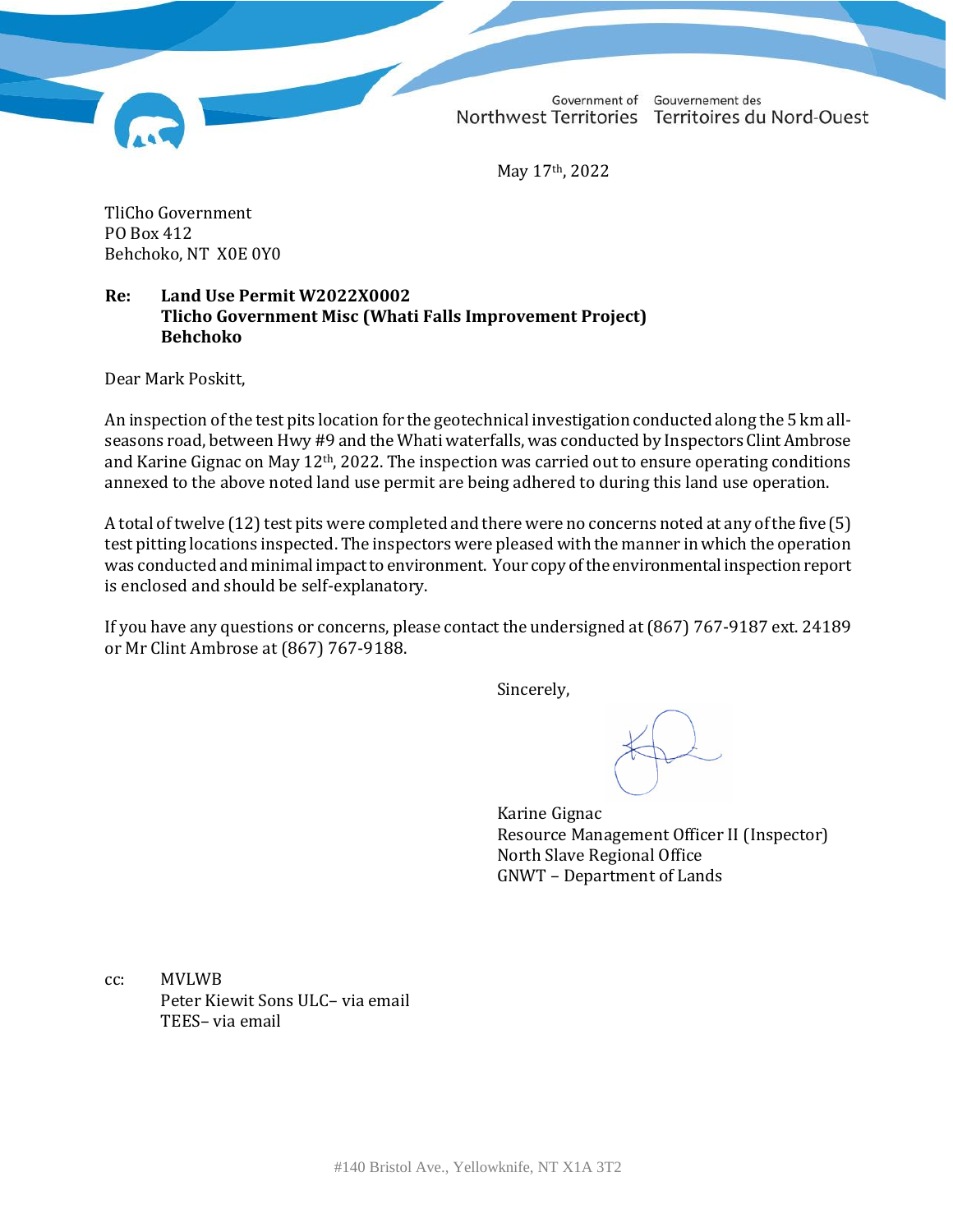Government of Gouvernement des Northwest Territories Territoires du Nord-Ouest

May 17th, 2022

TliCho Government PO Box 412 Behchoko, NT X0E 0Y0

#### **Re: Land Use Permit W2022X0002 Tlicho Government Misc (Whati Falls Improvement Project) Behchoko**

Dear Mark Poskitt,

An inspection of the test pits location for the geotechnical investigation conducted along the 5 km allseasons road, between Hwy #9 and the Whati waterfalls, was conducted by Inspectors Clint Ambrose and Karine Gignac on May 12th, 2022. The inspection was carried out to ensure operating conditions annexed to the above noted land use permit are being adhered to during this land use operation.

A total of twelve (12) test pits were completed and there were no concerns noted at any of the five (5) test pitting locations inspected. The inspectors were pleased with the manner in which the operation was conducted and minimal impact to environment. Your copy of the environmental inspection report is enclosed and should be self-explanatory.

If you have any questions or concerns, please contact the undersigned at (867) 767-9187 ext. 24189 or Mr Clint Ambrose at (867) 767-9188.

Sincerely,

Karine Gignac Resource Management Officer II (Inspector) North Slave Regional Office GNWT – Department of Lands

cc: MVLWB Peter Kiewit Sons ULC– via email TEES– via email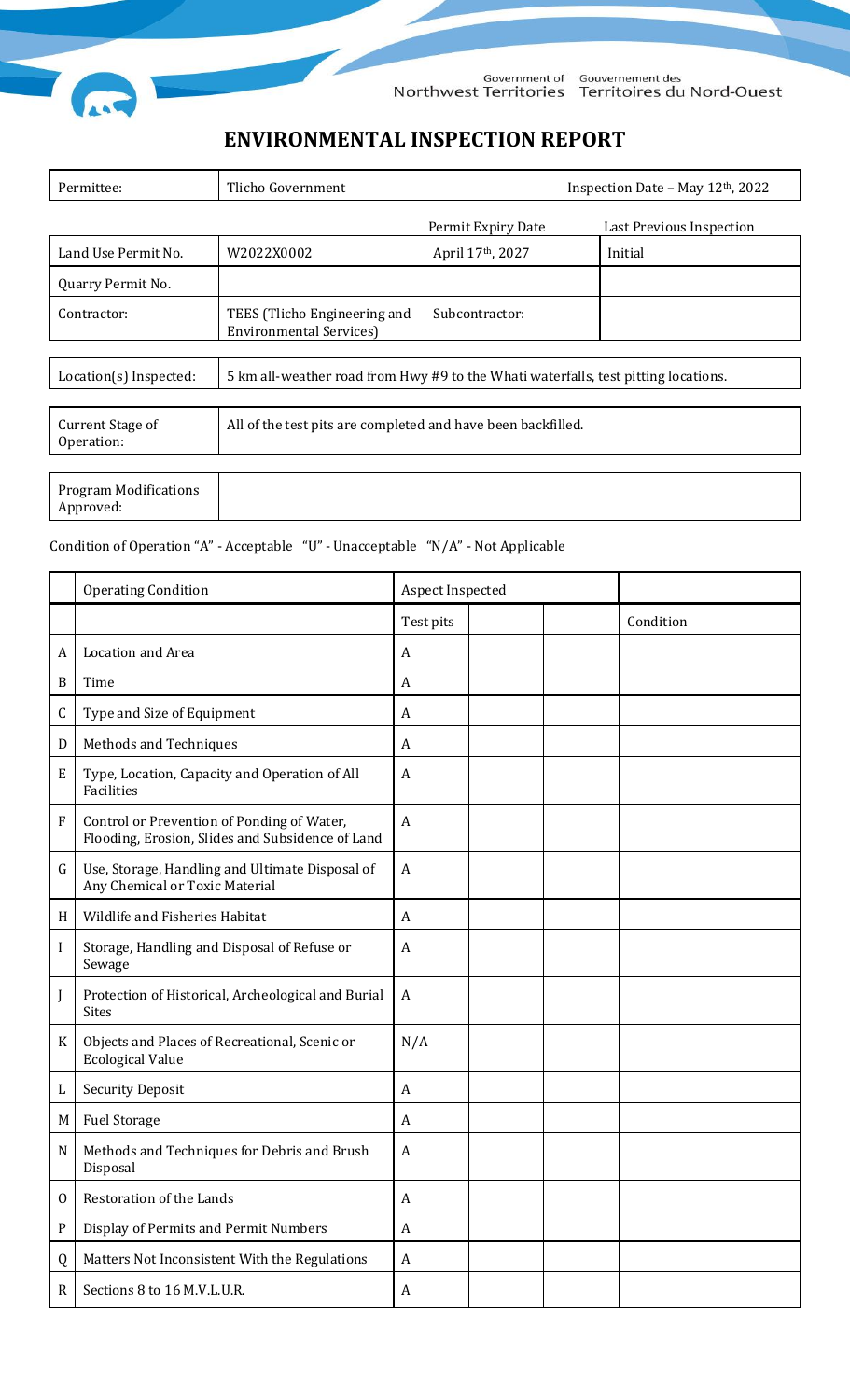

Government of Gouvernement des<br>Northwest Territories Territoires du Nord-Ouest

# **ENVIRONMENTAL INSPECTION REPORT**

| Permittee:                                | Tlicho Government                                                                  | Inspection Date - May 12th, 2022 |                          |  |  |  |
|-------------------------------------------|------------------------------------------------------------------------------------|----------------------------------|--------------------------|--|--|--|
|                                           |                                                                                    | Permit Expiry Date               | Last Previous Inspection |  |  |  |
| Land Use Permit No.                       | W2022X0002                                                                         | April 17th, 2027                 | Initial                  |  |  |  |
| Quarry Permit No.                         |                                                                                    |                                  |                          |  |  |  |
| Contractor:                               | TEES (Tlicho Engineering and<br><b>Environmental Services)</b>                     | Subcontractor:                   |                          |  |  |  |
|                                           |                                                                                    |                                  |                          |  |  |  |
| Location(s) Inspected:                    | 5 km all-weather road from Hwy #9 to the Whati waterfalls, test pitting locations. |                                  |                          |  |  |  |
|                                           |                                                                                    |                                  |                          |  |  |  |
| Current Stage of<br>Operation:            | All of the test pits are completed and have been backfilled.                       |                                  |                          |  |  |  |
|                                           |                                                                                    |                                  |                          |  |  |  |
| <b>Program Modifications</b><br>Approved: |                                                                                    |                                  |                          |  |  |  |

#### Condition of Operation "A" - Acceptable "U" - Unacceptable "N/A" - Not Applicable

|                           | <b>Operating Condition</b>                                                                     | Aspect Inspected |  |           |
|---------------------------|------------------------------------------------------------------------------------------------|------------------|--|-----------|
|                           |                                                                                                | Test pits        |  | Condition |
| A                         | Location and Area                                                                              | A                |  |           |
| $\boldsymbol{B}$          | Time                                                                                           | A                |  |           |
| C                         | Type and Size of Equipment                                                                     | A                |  |           |
| D                         | Methods and Techniques                                                                         | A                |  |           |
| E                         | Type, Location, Capacity and Operation of All<br>Facilities                                    | $\boldsymbol{A}$ |  |           |
| $\boldsymbol{\mathrm{F}}$ | Control or Prevention of Ponding of Water,<br>Flooding, Erosion, Slides and Subsidence of Land | $\boldsymbol{A}$ |  |           |
| G                         | Use, Storage, Handling and Ultimate Disposal of<br>Any Chemical or Toxic Material              | A                |  |           |
| H                         | Wildlife and Fisheries Habitat                                                                 | A                |  |           |
| I                         | Storage, Handling and Disposal of Refuse or<br>Sewage                                          | A                |  |           |
| J                         | Protection of Historical, Archeological and Burial<br><b>Sites</b>                             | $\boldsymbol{A}$ |  |           |
| K                         | Objects and Places of Recreational, Scenic or<br><b>Ecological Value</b>                       | N/A              |  |           |
| L                         | <b>Security Deposit</b>                                                                        | A                |  |           |
| M                         | <b>Fuel Storage</b>                                                                            | A                |  |           |
| N                         | Methods and Techniques for Debris and Brush<br>Disposal                                        | $\boldsymbol{A}$ |  |           |
| $\mathbf{0}$              | Restoration of the Lands                                                                       | A                |  |           |
| ${\bf P}$                 | Display of Permits and Permit Numbers                                                          | $\boldsymbol{A}$ |  |           |
| Q                         | Matters Not Inconsistent With the Regulations                                                  | $\boldsymbol{A}$ |  |           |
| $\mathbf R$               | Sections 8 to 16 M.V.L.U.R.                                                                    | A                |  |           |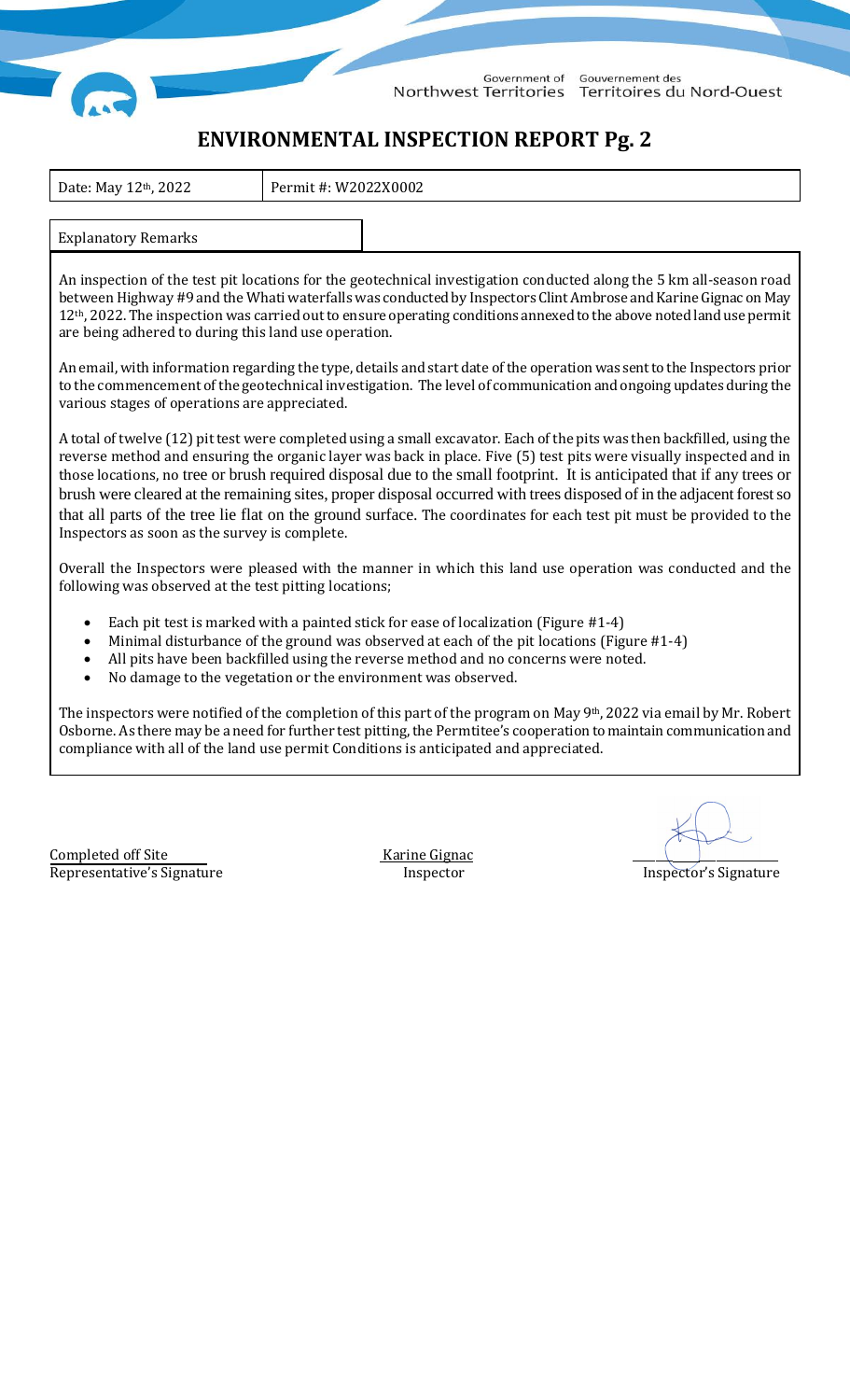

Government of Gouvernement des Northwest Territories Territoires du Nord-Ouest

## **ENVIRONMENTAL INSPECTION REPORT Pg. 2**

| Date: May 12 <sup>th</sup> , 2022 | Permit #: W2022X0002 |  |
|-----------------------------------|----------------------|--|
|                                   |                      |  |
| <b>Explanatory Remarks</b>        |                      |  |

An inspection of the test pit locations for the geotechnical investigation conducted along the 5 km all-season road between Highway #9 and the Whati waterfalls was conducted by Inspectors Clint Ambrose and Karine Gignac on May 12<sup>th</sup>, 2022. The inspection was carried out to ensure operating conditions annexed to the above noted land use permit are being adhered to during this land use operation.

An email, with information regarding the type, details and start date of the operationwas sent to the Inspectors prior to the commencement of the geotechnical investigation. The level of communication and ongoing updates during the various stages of operations are appreciated.

A total of twelve (12) pit test were completed using a small excavator. Each of the pits was then backfilled, using the reverse method and ensuring the organic layer was back in place. Five (5) test pits were visually inspected and in those locations, no tree or brush required disposal due to the small footprint. It is anticipated that if any trees or brush were cleared at the remaining sites, proper disposal occurred with trees disposed of in the adjacent forest so that all parts of the tree lie flat on the ground surface. The coordinates for each test pit must be provided to the Inspectors as soon as the survey is complete.

Overall the Inspectors were pleased with the manner in which this land use operation was conducted and the following was observed at the test pitting locations;

- Each pit test is marked with a painted stick for ease of localization (Figure #1-4)
- Minimal disturbance of the ground was observed at each of the pit locations (Figure #1-4)
- All pits have been backfilled using the reverse method and no concerns were noted.
- No damage to the vegetation or the environment was observed.

The inspectors were notified of the completion of this part of the program on May 9th, 2022 via email by Mr. Robert Osborne. As there may be a need for further test pitting, the Permtitee's cooperation to maintain communication and compliance with all of the land use permit Conditions is anticipated and appreciated.

Completed off Site Karine Gignac Representative's Signature The Inspector Inspector is importantly inspector's Signature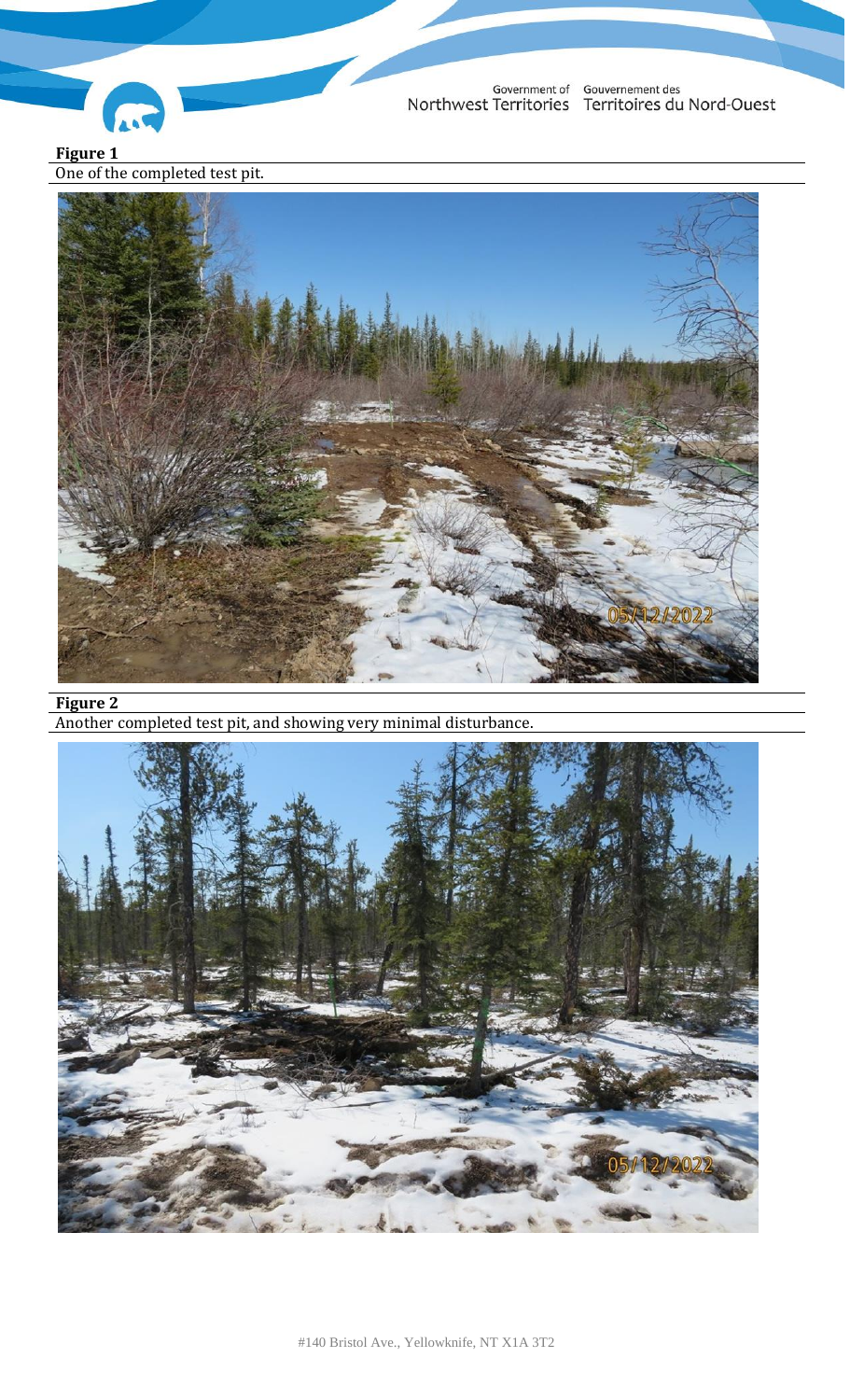

Government of Gouvernement des<br>Northwest Territories Territoires du Nord-Ouest

**Figure 1** One of the completed test pit.



**Figure 2**

Another completed test pit, and showing very minimal disturbance.